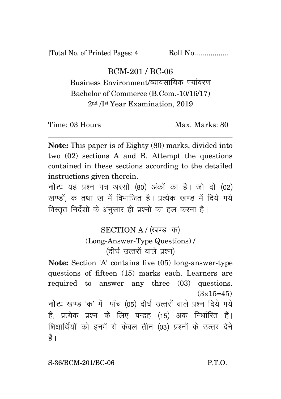[Total No. of Printed Pages: 4 Roll No.................

BCM-201 / BC-06

Business Environment/व्यावसायिक पर्यावरण Bachelor of Commerce (B.Com.-10/16/17) 2nd /Ist Year Examination, 2019

Time: 03 Hours Max. Marks: 80

**Note:** This paper is of Eighty (80) marks, divided into two (02) sections A and B. Attempt the questions contained in these sections according to the detailed instructions given therein.

**नोट:** यह प्रश्न पत्र अस्सी (80) अंकों का है। जो दो (02) खण्डों क तथा ख में विभाजित है। प्रत्येक खण्ड में दिये गये विस्तत निर्देशों के अनसार ही प्रश्नों का हल करना है।

> SECTION A / (खण्ड-क) (Long-Answer-Type Questions) / (दीर्घ उत्तरों वाले प्रश्न)

**Note:** Section 'A' contains five (05) long-answer-type questions of fifteen (15) marks each. Learners are required to answer any three (03) questions.  $(3\times15=45)$ **नोट:** खण्ड 'क' में पाँच (05) दीर्घ उत्तरों वाले प्रश्न दिये गये

हैं, प्रत्येक प्रश्न के लिए पन्द्रह (15) अंक निर्धारित हैं। शिक्षार्थियों को इनमें से केवल तीन (03) प्रश्नों के उत्तर देने  $\frac{3}{5}$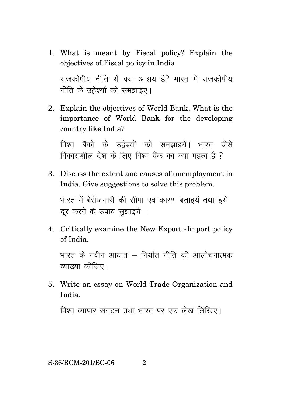1. What is meant by Fiscal policy? Explain the objectives of Fiscal policy in India.

राजकोषीय नीति से क्या आशय है? भारत में राजकोषीय नीति के उद्देश्यों को समझाइए।

2. Explain the objectives of World Bank. What is the importance of World Bank for the developing country like India?

विश्व बैंको के उद्नेश्यों को समझाइयें। भारत जैसे विकासशील देश के लिए विश्व बैंक का क्या महत्व है ?

3. Discuss the extent and causes of unemployment in India. Give suggestions to solve this problem.

भारत में बेरोजगारी की सीमा एवं कारण बताइयें तथा इसे दर करने के उपाय सझाइयें ।

4. Critically examine the New Export -Import policy of India.

भारत के नवीन आयात – निर्यात नीति की आलोचनात्मक व्याख्या कीजिए।

5. Write an essay on World Trade Organization and India.

विश्व व्यापार संगठन तथा भारत पर एक लेख लिखिए।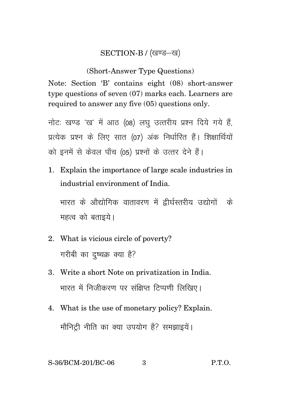## SECTION-B / (खण्ड-ख)

## (Short-Answer Type Questions)

Note: Section 'B' contains eight (08) short-answer type questions of seven (07) marks each. Learners are required to answer any five (05) questions only.

नोट: खण्ड 'ख' में आठ (08) लघु उत्तरीय प्रश्न दिये गये हैं, प्रत्येक प्रश्न के लिए सात (07) अंक निर्धारित हैं। शिक्षार्थियों को इनमें से केवल पाँच (05) प्रश्नों के उत्तर देने हैं।

1. Explain the importance of large scale industries in industrial environment of India.

भारत के औद्योगिक वातावरण में द्वीर्घस्तरीय उद्योगों के महत्व को बताइये।

- 2. What is vicious circle of poverty? गरीबी का दुष्चक्र क्या है?
- 3. Write a short Note on privatization in India. भारत में निजीकरण पर संक्षिप्त टिप्पणी लिखिए।
- 4. What is the use of monetary policy? Explain. मौनिटी नीति का क्या उपयोग है? समझाइयें।